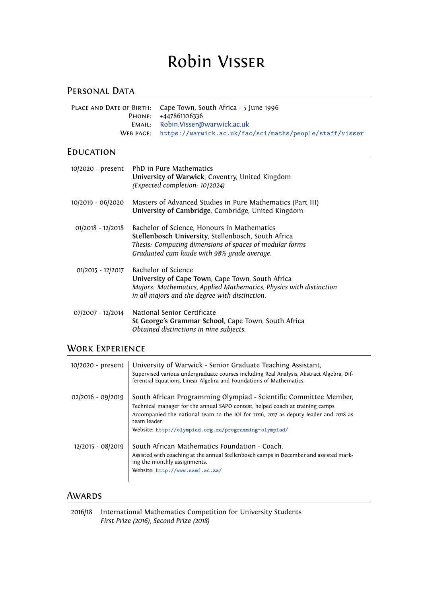# Robin Visser

# PERSONAL DATA

| PLACE AND DATE OF BIRTH: Cape Town, South Africa - 5 June 1996    |
|-------------------------------------------------------------------|
| PHONE: $+447861106336$                                            |
| EMAIL: Robin.Visser@warwick.ac.uk                                 |
| WEB PAGE: https://warwick.ac.uk/fac/sci/maths/people/staff/visser |

### **EDUCATION**

| 10/2020 - present | PhD in Pure Mathematics<br>University of Warwick, Coventry, United Kingdom<br>(Expected completion: 10/2024)                                                                                                 |
|-------------------|--------------------------------------------------------------------------------------------------------------------------------------------------------------------------------------------------------------|
| 10/2019 - 06/2020 | Masters of Advanced Studies in Pure Mathematics (Part III)<br>University of Cambridge, Cambridge, United Kingdom                                                                                             |
| 01/2018 - 12/2018 | Bachelor of Science, Honours in Mathematics<br>Stellenbosch University, Stellenbosch, South Africa<br>Thesis: Computing dimensions of spaces of modular forms<br>Graduated cum laude with 98% grade average. |
| 01/2015 - 12/2017 | Bachelor of Science<br>University of Cape Town, Cape Town, South Africa<br>Majors: Mathematics, Applied Mathematics, Physics with distinction<br>in all majors and the degree with distinction.              |
| 07/2007 - 12/2014 | National Senior Certificate<br>St George's Grammar School, Cape Town, South Africa<br>Obtained distinctions in nine subjects.                                                                                |

# WORK EXPERIENCE

| 10/2020 - present | University of Warwick - Senior Graduate Teaching Assistant,<br>Supervised various undergraduate courses including Real Analysis, Abstract Algebra, Dif-<br>ferential Equations, Linear Algebra and Foundations of Mathematics.                                                                                       |
|-------------------|----------------------------------------------------------------------------------------------------------------------------------------------------------------------------------------------------------------------------------------------------------------------------------------------------------------------|
| 02/2016 - 09/2019 | South African Programming Olympiad - Scientific Committee Member,<br>Technical manager for the annual SAPO contest, helped coach at training camps.<br>Accompanied the national team to the IOI for 2016, 2017 as deputy leader and 2018 as<br>team leader.<br>Website: http://olympiad.org.za/programming-olympiad/ |
| 12/2015 - 08/2019 | South African Mathematics Foundation - Coach,<br>Assisted with coaching at the annual Stellenbosch camps in December and assisted mark-<br>ing the monthly assignments.<br>Website: http://www.samf.ac.za/                                                                                                           |

# **AWARDS**

| 2016/18 International Mathematics Competition for University Students |
|-----------------------------------------------------------------------|
| First Prize (2016), Second Prize (2018)                               |